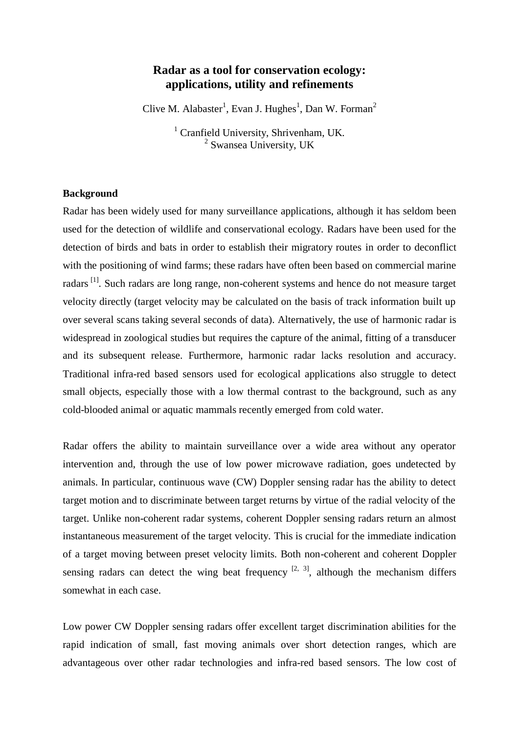# **Radar as a tool for conservation ecology: applications, utility and refinements**

Clive M. Alabaster<sup>1</sup>, Evan J. Hughes<sup>1</sup>, Dan W. Forman<sup>2</sup>

<sup>1</sup> Cranfield University, Shrivenham, UK.<br> $\frac{2}{3}$  Swansea University, UK

### **Background**

Radar has been widely used for many surveillance applications, although it has seldom been used for the detection of wildlife and conservational ecology. Radars have been used for the detection of birds and bats in order to establish their migratory routes in order to deconflict with the positioning of wind farms; these radars have often been based on commercial marine radars<sup>[\[1\]](#page-3-0)</sup>. Such radars are long range, non-coherent systems and hence do not measure target velocity directly (target velocity may be calculated on the basis of track information built up over several scans taking several seconds of data). Alternatively, the use of harmonic radar is widespread in zoological studies but requires the capture of the animal, fitting of a transducer and its subsequent release. Furthermore, harmonic radar lacks resolution and accuracy. Traditional infra-red based sensors used for ecological applications also struggle to detect small objects, especially those with a low thermal contrast to the background, such as any cold-blooded animal or aquatic mammals recently emerged from cold water.

Radar offers the ability to maintain surveillance over a wide area without any operator intervention and, through the use of low power microwave radiation, goes undetected by animals. In particular, continuous wave (CW) Doppler sensing radar has the ability to detect target motion and to discriminate between target returns by virtue of the radial velocity of the target. Unlike non-coherent radar systems, coherent Doppler sensing radars return an almost instantaneous measurement of the target velocity. This is crucial for the immediate indication of a target moving between preset velocity limits. Both non-coherent and coherent Doppler sensing radars can detect the wing beat frequency  $[2, 3]$  $[2, 3]$  $[2, 3]$ , although the mechanism differs somewhat in each case.

Low power CW Doppler sensing radars offer excellent target discrimination abilities for the rapid indication of small, fast moving animals over short detection ranges, which are advantageous over other radar technologies and infra-red based sensors. The low cost of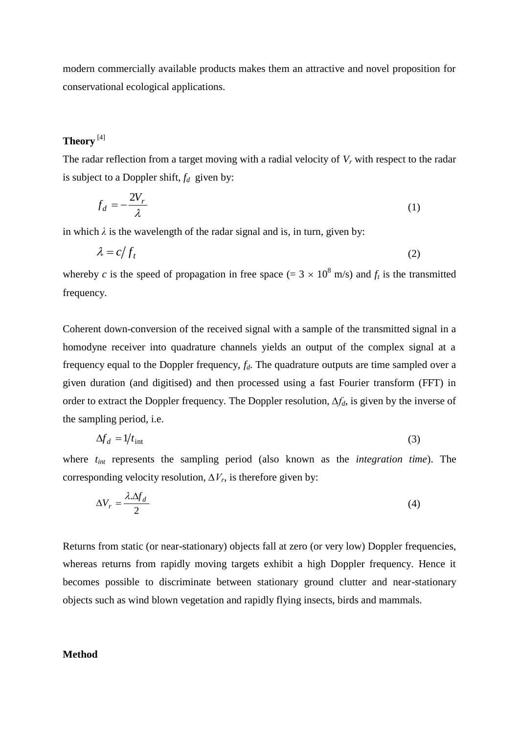modern commercially available products makes them an attractive and novel proposition for conservational ecological applications.

## **Theory** [\[4\]](#page-3-3)

The radar reflection from a target moving with a radial velocity of *V<sup>r</sup>* with respect to the radar is subject to a Doppler shift,  $f_d$  given by:

$$
f_d = -\frac{2V_r}{\lambda} \tag{1}
$$

in which  $\lambda$  is the wavelength of the radar signal and is, in turn, given by:

$$
\lambda = c/f_t \tag{2}
$$

whereby *c* is the speed of propagation in free space (=  $3 \times 10^8$  m/s) and  $f_t$  is the transmitted frequency.

Coherent down-conversion of the received signal with a sample of the transmitted signal in a homodyne receiver into quadrature channels yields an output of the complex signal at a frequency equal to the Doppler frequency, *fd*. The quadrature outputs are time sampled over a given duration (and digitised) and then processed using a fast Fourier transform (FFT) in order to extract the Doppler frequency. The Doppler resolution, *∆fd*, is given by the inverse of the sampling period, i.e.

$$
\Delta f_d = 1/t_{\text{int}} \tag{3}
$$

where  $t_{int}$  represents the sampling period (also known as the *integration time*). The corresponding velocity resolution,  $\Delta V_r$ , is therefore given by:

$$
\Delta V_r = \frac{\lambda \Delta f_d}{2} \tag{4}
$$

Returns from static (or near-stationary) objects fall at zero (or very low) Doppler frequencies, whereas returns from rapidly moving targets exhibit a high Doppler frequency. Hence it becomes possible to discriminate between stationary ground clutter and near-stationary objects such as wind blown vegetation and rapidly flying insects, birds and mammals.

### **Method**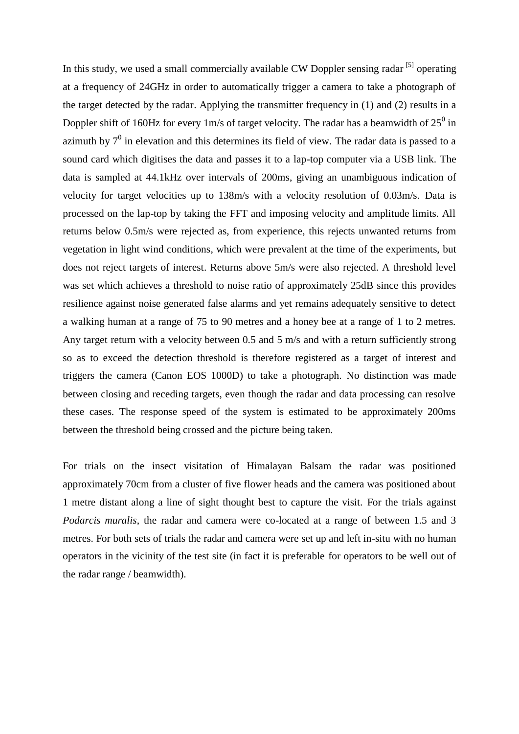In this study, we used a small commercially available CW Doppler sensing radar [\[5\]](#page-3-4) operating at a frequency of 24GHz in order to automatically trigger a camera to take a photograph of the target detected by the radar. Applying the transmitter frequency in (1) and (2) results in a Doppler shift of 160Hz for every 1m/s of target velocity. The radar has a beamwidth of  $25^0$  in azimuth by  $7^0$  in elevation and this determines its field of view. The radar data is passed to a sound card which digitises the data and passes it to a lap-top computer via a USB link. The data is sampled at 44.1kHz over intervals of 200ms, giving an unambiguous indication of velocity for target velocities up to 138m/s with a velocity resolution of 0.03m/s. Data is processed on the lap-top by taking the FFT and imposing velocity and amplitude limits. All returns below 0.5m/s were rejected as, from experience, this rejects unwanted returns from vegetation in light wind conditions, which were prevalent at the time of the experiments, but does not reject targets of interest. Returns above 5m/s were also rejected. A threshold level was set which achieves a threshold to noise ratio of approximately 25dB since this provides resilience against noise generated false alarms and yet remains adequately sensitive to detect a walking human at a range of 75 to 90 metres and a honey bee at a range of 1 to 2 metres. Any target return with a velocity between 0.5 and 5 m/s and with a return sufficiently strong so as to exceed the detection threshold is therefore registered as a target of interest and triggers the camera (Canon EOS 1000D) to take a photograph. No distinction was made between closing and receding targets, even though the radar and data processing can resolve these cases. The response speed of the system is estimated to be approximately 200ms between the threshold being crossed and the picture being taken.

For trials on the insect visitation of Himalayan Balsam the radar was positioned approximately 70cm from a cluster of five flower heads and the camera was positioned about 1 metre distant along a line of sight thought best to capture the visit. For the trials against *Podarcis muralis*, the radar and camera were co-located at a range of between 1.5 and 3 metres. For both sets of trials the radar and camera were set up and left in-situ with no human operators in the vicinity of the test site (in fact it is preferable for operators to be well out of the radar range / beamwidth).